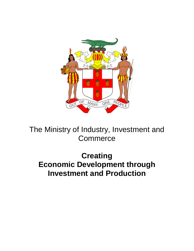

The Ministry of Industry, Investment and **Commerce** 

**Creating Economic Development through Investment and Production**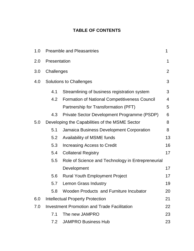## **TABLE OF CONTENTS**

| 1.0 | <b>Preamble and Pleasantries</b>                    |                                                      |                |  |
|-----|-----------------------------------------------------|------------------------------------------------------|----------------|--|
| 2.0 | Presentation                                        |                                                      |                |  |
| 3.0 | Challenges                                          |                                                      |                |  |
| 4.0 |                                                     | <b>Solutions to Challenges</b>                       |                |  |
|     | 4.1                                                 | Streamlining of business registration system         | 3              |  |
|     | 4.2                                                 | <b>Formation of National Competitiveness Council</b> | $\overline{4}$ |  |
|     |                                                     | Partnership for Transformation (PFT)                 | 5              |  |
|     | 4.3                                                 | Private Sector Development Programme (PSDP)          | 6              |  |
| 5.0 | Developing the Capabilities of the MSME Sector<br>8 |                                                      |                |  |
|     | 5.1                                                 | Jamaica Business Development Corporation             | 8              |  |
|     | 5.2                                                 | Availability of MSME funds                           | 13             |  |
|     | 5.3                                                 | Increasing Access to Credit                          | 16             |  |
|     | 5.4                                                 | <b>Collateral Registry</b>                           | 17             |  |
|     | 5.5                                                 | Role of Science and Technology in Entrepreneurial    |                |  |
|     |                                                     | Development                                          | 17             |  |
|     | 5.6                                                 | <b>Rural Youth Employment Project</b>                | 17             |  |
|     | 5.7                                                 | <b>Lemon Grass Industry</b>                          | 19             |  |
|     | 5.8                                                 | Wooden Products and Furniture Incubator              | 20             |  |
| 6.0 |                                                     | <b>Intellectual Property Protection</b>              | 21             |  |
| 7.0 | <b>Investment Promotion and Trade Facilitation</b>  |                                                      |                |  |
|     | 7.1                                                 | The new JAMPRO                                       | 23             |  |
|     | 7.2                                                 | <b>JAMPRO Business Hub</b>                           | 23             |  |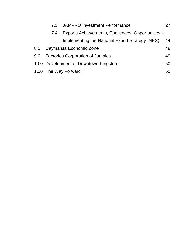|     | 7.3                                     | JAMPRO Investment Performance                     |    |
|-----|-----------------------------------------|---------------------------------------------------|----|
|     | 7.4                                     | Exports Achievements, Challenges, Opportunities - |    |
|     |                                         | Implementing the National Export Strategy (NES)   | 44 |
| 8.0 | Caymanas Economic Zone                  |                                                   | 48 |
| 9.0 | <b>Factories Corporation of Jamaica</b> |                                                   |    |
|     | 10.0 Development of Downtown Kingston   |                                                   |    |
|     | 11.0 The Way Forward                    |                                                   |    |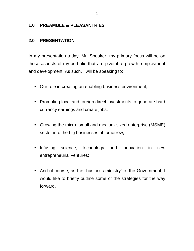#### **1.0 PREAMBLE & PLEASANTRIES**

#### **2.0 PRESENTATION**

In my presentation today, Mr. Speaker, my primary focus will be on those aspects of my portfolio that are pivotal to growth, employment and development. As such, I will be speaking to:

- Our role in creating an enabling business environment;
- **Promoting local and foreign direct investments to generate hard** currency earnings and create jobs;
- Growing the micro, small and medium-sized enterprise (MSME) sector into the big businesses of tomorrow;
- Infusing science, technology and innovation in new entrepreneurial ventures;
- And of course, as the "business ministry" of the Government, I would like to briefly outline some of the strategies for the way forward.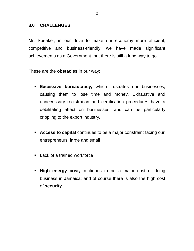#### **3.0 CHALLENGES**

Mr. Speaker, in our drive to make our economy more efficient, competitive and business-friendly, we have made significant achievements as a Government, but there is still a long way to go.

These are the **obstacles** in our way:

- **Excessive bureaucracy,** which frustrates our businesses, causing them to lose time and money. Exhaustive and unnecessary registration and certification procedures have a debilitating effect on businesses, and can be particularly crippling to the export industry.
- **Access to capital** continues to be a major constraint facing our entrepreneurs, large and small
- **Lack of a trained workforce**
- **High energy cost,** continues to be a major cost of doing business in Jamaica; and of course there is also the high cost of **security**.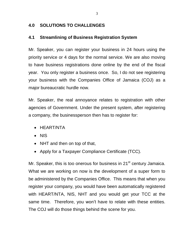### **4.0 SOLUTIONS TO CHALLENGES**

#### **4.1 Streamlining of Business Registration System**

Mr. Speaker, you can register your business in 24 hours using the priority service or 4 days for the normal service. We are also moving to have business registrations done online by the end of the fiscal year. You only register a business once. So, I do not see registering your business with the Companies Office of Jamaica (COJ) as a major bureaucratic hurdle now.

Mr. Speaker, the real annoyance relates to registration with other agencies of Government. Under the present system, after registering a company, the businessperson then has to register for:

- HEART/NTA
- NIS
- NHT and then on top of that,
- Apply for a Taxpayer Compliance Certificate (TCC).

Mr. Speaker, this is too onerous for business in  $21<sup>st</sup>$  century Jamaica. What we are working on now is the development of a super form to be administered by the Companies Office. This means that when you register your company, you would have been automatically registered with HEART/NTA, NIS, NHT and you would get your TCC at the same time. Therefore, you won't have to relate with these entities. The COJ will do those things behind the scene for you.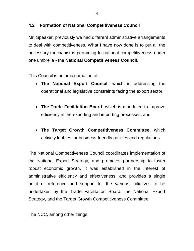### **4.2 Formation of National Competitiveness Council**

Mr. Speaker, previously we had different administrative arrangements to deal with competitiveness. What I have now done is to put all the necessary mechanisms pertaining to national competitiveness under one umbrella - the **National Competitiveness Council.**

This Council is an amalgamation of:-

- **The National Export Council,** which is addressing the operational and legislative constraints facing the export sector,
- **The Trade Facilitation Board,** which is mandated to improve efficiency in the exporting and importing processes, and
- **The Target Growth Competitiveness Committee,** which actively lobbies for business-friendly policies and regulations.

The National Competitiveness Council coordinates implementation of the National Export Strategy, and promotes partnership to foster robust economic growth. It was established in the interest of administrative efficiency and effectiveness, and provides a single point of reference and support for the various initiatives to be undertaken by the Trade Facilitation Board, the National Export Strategy, and the Target Growth Competitiveness Committee.

The NCC, among other things: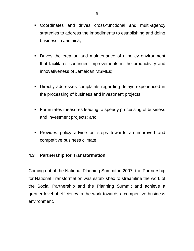- Coordinates and drives cross-functional and multi-agency strategies to address the impediments to establishing and doing business in Jamaica;
- **•** Drives the creation and maintenance of a policy environment that facilitates continued improvements in the productivity and innovativeness of Jamaican MSMEs;
- Directly addresses complaints regarding delays experienced in the processing of business and investment projects;
- **Formulates measures leading to speedy processing of business** and investment projects; and
- **Provides policy advice on steps towards an improved and** competitive business climate.

## **4.3 Partnership for Transformation**

Coming out of the National Planning Summit in 2007, the Partnership for National Transformation was established to streamline the work of the Social Partnership and the Planning Summit and achieve a greater level of efficiency in the work towards a competitive business environment.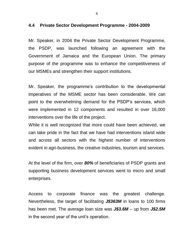#### **4.4 Private Sector Development Programme - 2004-2009**

Mr. Speaker, in 2004 the Private Sector Development Programme, the PSDP, was launched following an agreement with the Government of Jamaica and the European Union. The primary purpose of the programme was to enhance the competitiveness of our MSMEs and strengthen their support institutions.

Mr. Speaker, the programme's contribution to the developmental imperatives of the MSME sector has been considerable. We can point to the overwhelming demand for the PSDP's services, which were implemented in 12 components and resulted in over 16,000 interventions over the life of the project.

While it is well recognized that more could have been achieved, we can take pride in the fact that we have had interventions island wide and across all sectors with the highest number of interventions evident in agri-business, the creative industries, tourism and services.

At the level of the firm, over *80%* of beneficiaries of PSDP grants and supporting business development services went to micro and small enterprises.

Access to corporate finance was the greatest challenge. Nevertheless, the target of facilitating *J\$363M* in loans to 100 firms has been met. The average loan size was *J\$3.6M* – up from *J\$2.5M* in the second year of the unit's operation.

6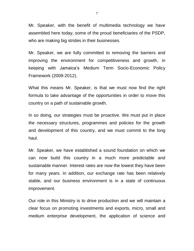Mr. Speaker, with the benefit of multimedia technology we have assembled here today, some of the proud beneficiaries of the PSDP, who are making big strides in their businesses.

Mr. Speaker, we are fully committed to removing the barriers and improving the environment for competitiveness and growth, in keeping with Jamaica's Medium Term Socio-Economic Policy Framework (2009-2012).

What this means Mr. Speaker, is that we must now find the right formula to take advantage of the opportunities in order to move this country on a path of sustainable growth.

In so doing, our strategies must be proactive. We must put in place the necessary structures, programmes and policies for the growth and development of this country, and we must commit to the long haul.

Mr. Speaker, we have established a sound foundation on which we can now build this country in a much more predictable and sustainable manner. Interest rates are now the lowest they have been for many years. In addition, our exchange rate has been relatively stable, and our business environment is in a state of continuous improvement.

Our role in this Ministry is to drive production and we will maintain a clear focus on promoting investments and exports, micro, small and medium enterprise development, the application of science and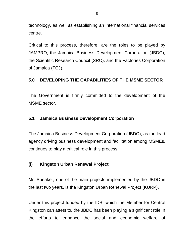technology, as well as establishing an international financial services centre.

Critical to this process, therefore, are the roles to be played by JAMPRO, the Jamaica Business Development Corporation (JBDC), the Scientific Research Council (SRC), and the Factories Corporation of Jamaica (FCJ).

## **5.0 DEVELOPING THE CAPABILITIES OF THE MSME SECTOR**

The Government is firmly committed to the development of the MSME sector.

### **5.1 Jamaica Business Development Corporation**

The Jamaica Business Development Corporation (JBDC), as the lead agency driving business development and facilitation among MSMEs, continues to play a critical role in this process.

## **(i) Kingston Urban Renewal Project**

Mr. Speaker, one of the main projects implemented by the JBDC in the last two years, is the Kingston Urban Renewal Project (KURP).

Under this project funded by the IDB, which the Member for Central Kingston can attest to, the JBDC has been playing a significant role in the efforts to enhance the social and economic welfare of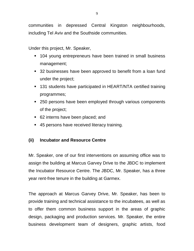communities in depressed Central Kingston neighbourhoods, including Tel Aviv and the Southside communities.

Under this project, Mr. Speaker,

- 104 young entrepreneurs have been trained in small business management;
- 32 businesses have been approved to benefit from a loan fund under the project;
- 131 students have participated in HEART/NTA certified training programmes;
- 250 persons have been employed through various components of the project;
- 62 interns have been placed; and
- 45 persons have received literacy training.

## **(ii) Incubator and Resource Centre**

Mr. Speaker, one of our first interventions on assuming office was to assign the building at Marcus Garvey Drive to the JBDC to implement the Incubator Resource Centre. The JBDC, Mr. Speaker, has a three year rent-free tenure in the building at Garmex.

The approach at Marcus Garvey Drive, Mr. Speaker, has been to provide training and technical assistance to the incubatees, as well as to offer them common business support in the areas of graphic design, packaging and production services. Mr. Speaker, the entire business development team of designers, graphic artists, food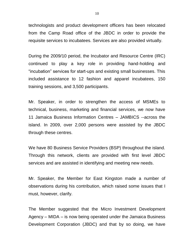technologists and product development officers has been relocated from the Camp Road office of the JBDC in order to provide the requisite services to incubatees. Services are also provided virtually.

During the 2009/10 period, the Incubator and Resource Centre (IRC) continued to play a key role in providing hand-holding and "incubation" services for start-ups and existing small businesses. This included assistance to 12 fashion and apparel incubatees, 150 training sessions, and 3,500 participants.

Mr. Speaker, in order to strengthen the access of MSMEs to technical, business, marketing and financial services, we now have 11 Jamaica Business Information Centres – JAMBICS --across the island. In 2009, over 2,000 persons were assisted by the JBDC through these centres.

We have 80 Business Service Providers (BSP) throughout the island. Through this network, clients are provided with first level JBDC services and are assisted in identifying and meeting new needs.

Mr. Speaker, the Member for East Kingston made a number of observations during his contribution, which raised some issues that I must, however, clarify.

The Member suggested that the Micro Investment Development Agency – MIDA – is now being operated under the Jamaica Business Development Corporation (JBDC) and that by so doing, we have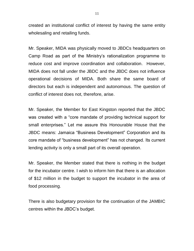created an institutional conflict of interest by having the same entity wholesaling and retailing funds.

Mr. Speaker, MIDA was physically moved to JBDCs headquarters on Camp Road as part of the Ministry's rationalization programme to reduce cost and improve coordination and collaboration. However, MIDA does not fall under the JBDC and the JBDC does not influence operational decisions of MIDA. Both share the same board of directors but each is independent and autonomous. The question of conflict of interest does not, therefore, arise.

Mr. Speaker, the Member for East Kingston reported that the JBDC was created with a "core mandate of providing technical support for small enterprises." Let me assure this Honourable House that the JBDC means: Jamaica "Business Development" Corporation and its core mandate of "business development" has not changed. Its current lending activity is only a small part of its overall operation.

Mr. Speaker, the Member stated that there is nothing in the budget for the incubator centre. I wish to inform him that there is an allocation of \$12 million in the budget to support the incubator in the area of food processing.

There is also budgetary provision for the continuation of the JAMBIC centres within the JBDC's budget.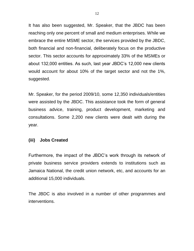It has also been suggested, Mr. Speaker, that the JBDC has been reaching only one percent of small and medium enterprises. While we embrace the entire MSME sector, the services provided by the JBDC, both financial and non-financial, deliberately focus on the productive sector. This sector accounts for approximately 33% of the MSMEs or about 132,000 entities. As such, last year JBDC's 12,000 new clients would account for about 10% of the target sector and not the 1%, suggested.

Mr. Speaker, for the period 2009/10, some 12,350 individuals/entities were assisted by the JBDC. This assistance took the form of general business advice, training, product development, marketing and consultations. Some 2,200 new clients were dealt with during the year.

#### **(iii) Jobs Created**

Furthermore, the impact of the JBDC's work through its network of private business service providers extends to institutions such as Jamaica National, the credit union network, etc, and accounts for an additional 15,000 individuals.

The JBDC is also involved in a number of other programmes and interventions.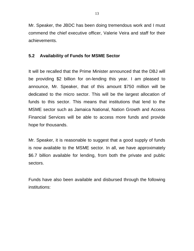Mr. Speaker, the JBDC has been doing tremendous work and I must commend the chief executive officer, Valerie Veira and staff for their achievements.

#### **5.2 Availability of Funds for MSME Sector**

It will be recalled that the Prime Minister announced that the DBJ will be providing \$2 billion for on-lending this year. I am pleased to announce, Mr. Speaker, that of this amount \$750 million will be dedicated to the micro sector. This will be the largest allocation of funds to this sector. This means that institutions that lend to the MSME sector such as Jamaica National, Nation Growth and Access Financial Services will be able to access more funds and provide hope for thousands.

Mr. Speaker, it is reasonable to suggest that a good supply of funds is now available to the MSME sector. In all, we have approximately \$6.7 billion available for lending, from both the private and public sectors.

Funds have also been available and disbursed through the following institutions: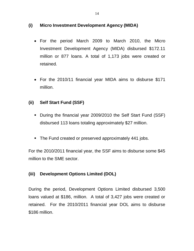### **(i) Micro Investment Development Agency (MIDA)**

- For the period March 2009 to March 2010, the Micro Investment Development Agency (MIDA) disbursed \$172.11 million or 877 loans. A total of 1,173 jobs were created or retained.
- For the 2010/11 financial year MIDA aims to disburse \$171 million.

## **(ii) Self Start Fund (SSF)**

- During the financial year 2009/2010 the Self Start Fund (SSF) disbursed 113 loans totaling approximately \$27 million.
- The Fund created or preserved approximately 441 jobs.

For the 2010/2011 financial year, the SSF aims to disburse some \$45 million to the SME sector.

## **(iii) Development Options Limited (DOL)**

During the period, Development Options Limited disbursed 3,500 loans valued at \$186, million. A total of 3,427 jobs were created or retained. For the 2010/2011 financial year DOL aims to disburse \$186 million.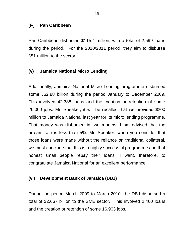#### (iv) **Pan Caribbean**

Pan Caribbean disbursed \$115.4 million, with a total of 2,599 loans during the period. For the 2010/2011 period, they aim to disburse \$51 million to the sector.

#### **(v) Jamaica National Micro Lending**

Additionally, Jamaica National Micro Lending programme disbursed some J\$2.88 billion during the period January to December 2009. This involved 42,388 loans and the creation or retention of some 26,000 jobs. Mr. Speaker, it will be recalled that we provided \$200 million to Jamaica National last year for its micro lending programme. That money was disbursed in two months. I am advised that the arrears rate is less than 5%. Mr. Speaker, when you consider that those loans were made without the reliance on traditional collateral, we must conclude that this is a highly successful programme and that honest small people repay their loans. I want, therefore, to congratulate Jamaica National for an excellent performance.

#### **(vi) Development Bank of Jamaica (DBJ)**

During the period March 2009 to March 2010, the DBJ disbursed a total of \$2.667 billion to the SME sector. This involved 2,460 loans and the creation or retention of some 16,903 jobs.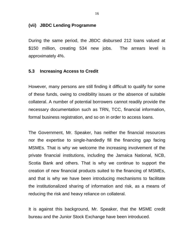#### **(vii) JBDC Lending Programme**

During the same period, the JBDC disbursed 212 loans valued at \$150 million, creating 534 new jobs. The arrears level is approximately 4%.

#### **5.3 Increasing Access to Credit**

However, many persons are still finding it difficult to qualify for some of these funds, owing to credibility issues or the absence of suitable collateral. A number of potential borrowers cannot readily provide the necessary documentation such as TRN, TCC, financial information, formal business registration, and so on in order to access loans.

The Government, Mr. Speaker, has neither the financial resources nor the expertise to single-handedly fill the financing gap facing MSMEs. That is why we welcome the increasing involvement of the private financial institutions, including the Jamaica National, NCB, Scotia Bank and others. That is why we continue to support the creation of new financial products suited to the financing of MSMEs, and that is why we have been introducing mechanisms to facilitate the institutionalized sharing of information and risk, as a means of reducing the risk and heavy reliance on collateral.

It is against this background, Mr. Speaker, that the MSME credit bureau and the Junior Stock Exchange have been introduced.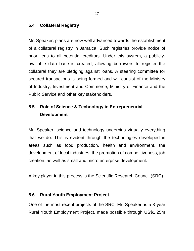#### **5.4 Collateral Registry**

Mr. Speaker, plans are now well advanced towards the establishment of a collateral registry in Jamaica. Such registries provide notice of prior liens to all potential creditors. Under this system, a publiclyavailable data base is created, allowing borrowers to register the collateral they are pledging against loans. A steering committee for secured transactions is being formed and will consist of the Ministry of Industry, Investment and Commerce, Ministry of Finance and the Public Service and other key stakeholders.

# **5.5 Role of Science & Technology in Entrepreneurial Development**

Mr. Speaker, science and technology underpins virtually everything that we do. This is evident through the technologies developed in areas such as food production, health and environment, the development of local industries, the promotion of competitiveness, job creation, as well as small and micro enterprise development.

A key player in this process is the Scientific Research Council (SRC).

### **5.6 Rural Youth Employment Project**

One of the most recent projects of the SRC, Mr. Speaker, is a 3-year Rural Youth Employment Project, made possible through US\$1.25m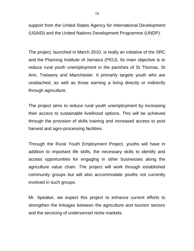support from the United States Agency for International Development (USAID) and the United Nations Development Programme (UNDP).

The project, launched in March 2010, is really an initiative of the SRC and the Planning Institute of Jamaica (PIOJ). Its main objective is to reduce rural youth unemployment in the parishes of St Thomas, St Ann, Trelawny and Manchester. It primarily targets youth who are unattached, as well as those earning a living directly or indirectly through agriculture.

The project aims to reduce rural youth unemployment by increasing their access to sustainable livelihood options. This will be achieved through the provision of skills training and increased access to post harvest and agro-processing facilities.

Through the Rural Youth Employment Project, youths will have in addition to important life skills, the necessary skills to identify and access opportunities for engaging in other businesses along the agriculture value chain. The project will work through established community groups but will also accommodate youths not currently involved in such groups.

Mr. Speaker, we expect this project to enhance current efforts to strengthen the linkages between the agriculture and tourism sectors and the servicing of underserved niche markets.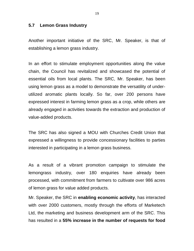#### **5.7 Lemon Grass Industry**

Another important initiative of the SRC, Mr. Speaker, is that of establishing a lemon grass industry.

In an effort to stimulate employment opportunities along the value chain, the Council has revitalized and showcased the potential of essential oils from local plants. The SRC, Mr. Speaker, has been using lemon grass as a model to demonstrate the versatility of underutilized aromatic plants locally. So far, over 200 persons have expressed interest in farming lemon grass as a crop, while others are already engaged in activities towards the extraction and production of value-added products.

The SRC has also signed a MOU with Churches Credit Union that expressed a willingness to provide concessionary facilities to parties interested in participating in a lemon grass business.

As a result of a vibrant promotion campaign to stimulate the lemongrass industry, over 180 enquiries have already been processed, with commitment from farmers to cultivate over 986 acres of lemon grass for value added products.

Mr. Speaker, the SRC in **enabling economic activity**, has interacted with over 2000 customers, mostly through the efforts of Marketech Ltd, the marketing and business development arm of the SRC. This has resulted in a **55% increase in the number of requests for food**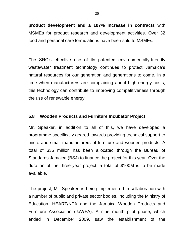**product development and a 107% increase in contracts** with MSMEs for product research and development activities. Over 32 food and personal care formulations have been sold to MSMEs.

The SRC's effective use of its patented environmentally-friendly wastewater treatment technology continues to protect Jamaica's natural resources for our generation and generations to come. In a time when manufacturers are complaining about high energy costs, this technology can contribute to improving competitiveness through the use of renewable energy.

#### **5.8 Wooden Products and Furniture Incubator Project**

Mr. Speaker, in addition to all of this, we have developed a programme specifically geared towards providing technical support to micro and small manufacturers of furniture and wooden products. A total of \$35 million has been allocated through the Bureau of Standards Jamaica (BSJ) to finance the project for this year. Over the duration of the three-year project, a total of \$100M is to be made available.

The project, Mr. Speaker, is being implemented in collaboration with a number of public and private sector bodies, including the Ministry of Education, HEART/NTA and the Jamaica Wooden Products and Furniture Association (JaWFA). A nine month pilot phase, which ended in December 2009, saw the establishment of the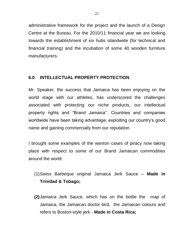administrative framework for the project and the launch of a Design Centre at the Bureau. For the 2010/11 financial year we are looking towards the establishment of six hubs islandwide (for technical and financial training) and the incubation of some 40 wooden furniture manufacturers.

### **6.0 INTELLECTUAL PROPERTY PROTECTION**

Mr. Speaker, the success that Jamaica has been enjoying on the world stage with our athletes, has underscored the challenges associated with protecting our niche products, our intellectual property rights and "Brand Jamaica". Countries and companies worldwide have been taking advantage, exploiting our country's good name and gaining commercially from our reputation.

I brought some examples of the wanton cases of piracy now taking place with respect to some of our Brand Jamaican commodities around the world:

- (1)Swiss Barbeque original Jamaica Jerk Sauce **Made in Trinidad & Tobago;**
- **(2)**Jamaica Jerk Sauce, which has on the bottle the map of Jamaica, the Jamaican doctor bird, the Jamaican colours and refers to Boston-style jerk - **Made in Costa Rica;**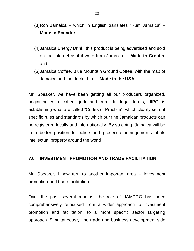- (3)Ron Jamaica which in English translates "Rum Jamaica" **Made in Ecuador;**
- (4)Jamaica Energy Drink, this product is being advertised and sold on the Internet as if it were from Jamaica – **Made in Croatia,**  and
- (5)Jamaica Coffee, Blue Mountain Ground Coffee, with the map of Jamaica and the doctor bird – **Made in the USA.**

Mr. Speaker, we have been getting all our producers organized, beginning with coffee, jerk and rum. In legal terms, JIPO is establishing what are called "Codes of Practice", which clearly set out specific rules and standards by which our fine Jamaican products can be registered locally and internationally. By so doing, Jamaica will be in a better position to police and prosecute infringements of its intellectual property around the world.

#### **7.0 INVESTMENT PROMOTION AND TRADE FACILITATION**

Mr. Speaker, I now turn to another important area -- investment promotion and trade facilitation.

Over the past several months, the role of JAMPRO has been comprehensively refocused from a wider approach to investment promotion and facilitation, to a more specific sector targeting approach. Simultaneously, the trade and business development side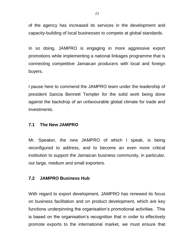of the agency has increased its services in the development and capacity-building of local businesses to compete at global standards.

In so doing, JAMPRO is engaging in more aggressive export promotions while implementing a national linkages programme that is connecting competitive Jamaican producers with local and foreign buyers.

I pause here to commend the JAMPRO team under the leadership of president Sancia Bennett Templer for the solid work being done against the backdrop of an unfavourable global climate for trade and investments.

#### **7.1 The New JAMPRO**

Mr. Speaker, the new JAMPRO of which I speak, is being reconfigured to address, and to become an even more critical institution to support the Jamaican business community, in particular, our large, medium and small exporters.

### **7.2 JAMPRO Business Hub**

With regard to export development, JAMPRO has renewed its focus on business facilitation and on product development, which are key functions underpinning the organisation's promotional activities. This is based on the organisation's recognition that in order to effectively promote exports to the international market, we must ensure that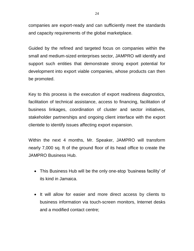companies are export-ready and can sufficiently meet the standards and capacity requirements of the global marketplace.

Guided by the refined and targeted focus on companies within the small and medium-sized enterprises sector, JAMPRO will identify and support such entities that demonstrate strong export potential for development into export viable companies, whose products can then be promoted.

Key to this process is the execution of export readiness diagnostics, facilitation of technical assistance, access to financing, facilitation of business linkages, coordination of cluster and sector initiatives, stakeholder partnerships and ongoing client interface with the export clientele to identify issues affecting export expansion.

Within the next 4 months, Mr. Speaker, JAMPRO will transform nearly 7,000 sq. ft of the ground floor of its head office to create the JAMPRO Business Hub.

- This Business Hub will be the only one-stop 'business facility' of its kind in Jamaica.
- It will allow for easier and more direct access by clients to business information via touch-screen monitors, Internet desks and a modified contact centre;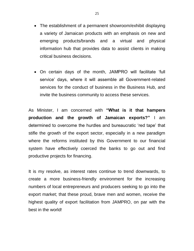- The establishment of a permanent showroom/exhibit displaying a variety of Jamaican products with an emphasis on new and emerging products/brands and a virtual and physical information hub that provides data to assist clients in making critical business decisions.
- On certain days of the month, JAMPRO will facilitate 'full service' days, where it will assemble all Government-related services for the conduct of business in the Business Hub, and invite the business community to access these services.

As Minister, I am concerned with **"What is it that hampers production and the growth of Jamaican exports?"** I am determined to overcome the hurdles and bureaucratic 'red tape' that stifle the growth of the export sector, especially in a new paradigm where the reforms instituted by this Government to our financial system have effectively coerced the banks to go out and find productive projects for financing.

It is my resolve, as interest rates continue to trend downwards, to create a more business-friendly environment for the increasing numbers of local entrepreneurs and producers seeking to go into the export market; that these proud, brave men and women, receive the highest quality of export facilitation from JAMPRO, on par with the best in the world!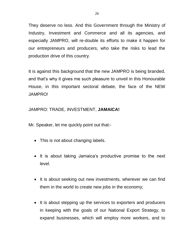They deserve no less. And this Government through the Ministry of Industry, Investment and Commerce and all its agencies, and especially JAMPRO, will re-double its efforts to make it happen for our entrepreneurs and producers, who take the risks to lead the production drive of this country.

It is against this background that the new JAMPRO is being branded, and that's why it gives me such pleasure to unveil in this Honourable House, in this important sectoral debate, the face of the NEW JAMPRO!

### JAMPRO: TRADE, INVESTMENT, **JAMAICA!**

Mr. Speaker, let me quickly point out that:-

- This is not about changing labels.
- It is about taking Jamaica's productive promise to the next level.
- It is about seeking out new investments, wherever we can find them in the world to create new jobs in the economy;
- It is about stepping up the services to exporters and producers in keeping with the goals of our National Export Strategy, to expand businesses, which will employ more workers, and to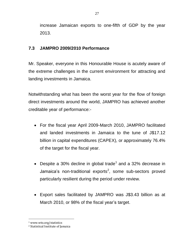increase Jamaican exports to one-fifth of GDP by the year 2013.

## **7.3 JAMPRO 2009/2010 Performance**

Mr. Speaker, everyone in this Honourable House is acutely aware of the extreme challenges in the current environment for attracting and landing investments in Jamaica.

Notwithstanding what has been the worst year for the flow of foreign direct investments around the world, JAMPRO has achieved another creditable year of performance:-

- For the fiscal year April 2009-March 2010, JAMPRO facilitated and landed investments in Jamaica to the tune of J\$17.12 billion in capital expenditures (CAPEX), or approximately 76.4% of the target for the fiscal year.
- Despite a 30% decline in global trade<sup>1</sup> and a 32% decrease in Jamaica's non-traditional exports<sup>2</sup>, some sub-sectors proved particularly resilient during the period under review.
- Export sales facilitated by JAMPRO was J\$3.43 billion as at March 2010, or 98% of the fiscal year's target.

 $\overline{a}$ <sup>1</sup> www.wto.org/statistics

<sup>2</sup> Statistical Institute of Jamaica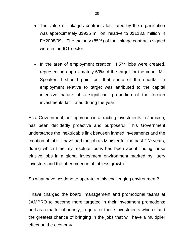- The value of linkages contracts facilitated by the organisation was approximately J\$935 million, relative to J\$113.8 million in FY2008/09. The majority (85%) of the linkage contracts signed were in the ICT sector.
- In the area of employment creation, 4,574 jobs were created, representing approximately 69% of the target for the year. Mr. Speaker, I should point out that some of the shortfall in employment relative to target was attributed to the capital intensive nature of a significant proportion of the foreign investments facilitated during the year.

As a Government, our approach in attracting investments to Jamaica, has been decidedly proactive and purposeful. This Government understands the inextricable link between landed investments and the creation of jobs. I have had the job as Minister for the past 2 ½ years, during which time my resolute focus has been about finding those elusive jobs in a global investment environment marked by jittery investors and the phenomenon of jobless growth.

So what have we done to operate in this challenging environment?

I have charged the board, management and promotional teams at JAMPRO to become more targeted in their investment promotions; and as a matter of priority, to go after those investments which stand the greatest chance of bringing in the jobs that will have a multiplier effect on the economy.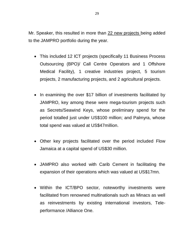Mr. Speaker, this resulted in more than 22 new projects being added to the JAMPRO portfolio during the year.

- This included 12 ICT projects (specifically 11 Business Process Outsourcing (BPO)/ Call Centre Operators and 1 Offshore Medical Facility), 1 creative industries project, 5 tourism projects, 2 manufacturing projects, and 2 agricultural projects.
- In examining the over \$17 billion of investments facilitated by JAMPRO, key among these were mega-tourism projects such as Secrets/Seawind Keys, whose preliminary spend for the period totalled just under US\$100 million; and Palmyra, whose total spend was valued at US\$47million.
- Other key projects facilitated over the period included Flow Jamaica at a capital spend of US\$30 million.
- JAMPRO also worked with Carib Cement in facilitating the expansion of their operations which was valued at US\$17mn.
- Within the ICT/BPO sector, noteworthy investments were facilitated from renowned multinationals such as Minacs as well as reinvestments by existing international investors, Teleperformance /Alliance One.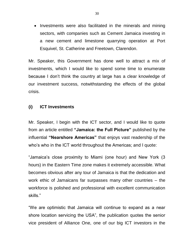• Investments were also facilitated in the minerals and mining sectors, with companies such as Cement Jamaica investing in a new cement and limestone quarrying operation at Port Esquivel, St. Catherine and Freetown, Clarendon.

Mr. Speaker, this Government has done well to attract a mix of investments, which I would like to spend some time to enumerate because I don't think the country at large has a clear knowledge of our investment success, notwithstanding the effects of the global crisis.

#### **(i) ICT Investments**

Mr. Speaker, I begin with the ICT sector, and I would like to quote from an article entitled **"Jamaica: the Full Picture"** published by the influential **"Nearshore Americas"** that enjoys vast readership of the who's who in the ICT world throughout the Americas; and I quote:

"Jamaica's close proximity to Miami (one hour) and New York (3 hours) in the Eastern Time zone makes it extremely accessible. What becomes obvious after any tour of Jamaica is that the dedication and work ethic of Jamaicans far surpasses many other countries – the workforce is polished and professional with excellent communication skills."

"We are optimistic that Jamaica will continue to expand as a near shore location servicing the USA", the publication quotes the senior vice president of Alliance One, one of our big ICT investors in the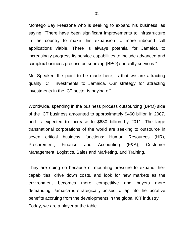Montego Bay Freezone who is seeking to expand his business, as saying: "There have been significant improvements to infrastructure in the country to make this expansion to more inbound call applications viable. There is always potential for Jamaica to increasingly progress its service capabilities to include advanced and complex business process outsourcing (BPO) specialty services."

Mr. Speaker, the point to be made here, is that we are attracting quality ICT investments to Jamaica. Our strategy for attracting investments in the ICT sector is paying off.

Worldwide, spending in the business process outsourcing (BPO) side of the ICT business amounted to approximately \$460 billion in 2007, and is expected to increase to \$680 billion by 2011. The large transnational corporations of the world are seeking to outsource in seven critical business functions: Human Resources (HR), Procurement, Finance and Accounting (F&A), Customer Management, Logistics, Sales and Marketing, and Training.

They are doing so because of mounting pressure to expand their capabilities, drive down costs, and look for new markets as the environment becomes more competitive and buyers more demanding. Jamaica is strategically poised to tap into the lucrative benefits accruing from the developments in the global ICT industry. Today, we are a player at the table.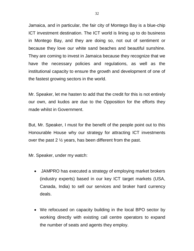Jamaica, and in particular, the fair city of Montego Bay is a blue-chip ICT investment destination. The ICT world is lining up to do business in Montego Bay, and they are doing so, not out of sentiment or because they love our white sand beaches and beautiful sunshine. They are coming to invest in Jamaica because they recognize that we have the necessary policies and regulations, as well as the institutional capacity to ensure the growth and development of one of the fastest growing sectors in the world.

Mr. Speaker, let me hasten to add that the credit for this is not entirely our own, and kudos are due to the Opposition for the efforts they made whilst in Government.

But, Mr. Speaker, I must for the benefit of the people point out to this Honourable House why our strategy for attracting ICT investments over the past 2 ½ years, has been different from the past.

Mr. Speaker, under my watch:

- JAMPRO has executed a strategy of employing market brokers (industry experts) based in our key ICT target markets (USA, Canada, India) to sell our services and broker hard currency deals.
- We refocused on capacity building in the local BPO sector by working directly with existing call centre operators to expand the number of seats and agents they employ.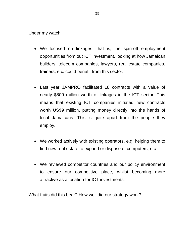Under my watch:

- We focused on linkages, that is, the spin-off employment opportunities from out ICT investment, looking at how Jamaican builders, telecom companies, lawyers, real estate companies, trainers, etc. could benefit from this sector.
- Last year JAMPRO facilitated 18 contracts with a value of nearly \$800 million worth of linkages in the ICT sector. This means that existing ICT companies initiated new contracts worth US\$9 million, putting money directly into the hands of local Jamaicans. This is quite apart from the people they employ.
- We worked actively with existing operators, e.g. helping them to find new real estate to expand or dispose of computers, etc.
- We reviewed competitor countries and our policy environment to ensure our competitive place, whilst becoming more attractive as a location for ICT investments.

What fruits did this bear? How well did our strategy work?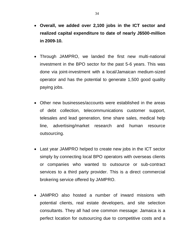- **Overall, we added over 2,100 jobs in the ICT sector and realized capital expenditure to date of nearly J\$500-million in 2009-10.**
- Through JAMPRO, we landed the first new multi-national investment in the BPO sector for the past 5-6 years. This was done via joint-investment with a local/Jamaican medium-sized operator and has the potential to generate 1,500 good quality paying jobs.
- Other new businesses/accounts were established in the areas of debt collection, telecommunications customer support, telesales and lead generation, time share sales, medical help line, advertising/market research and human resource outsourcing.
- Last year JAMPRO helped to create new jobs in the ICT sector simply by connecting local BPO operators with overseas clients or companies who wanted to outsource or sub-contract services to a third party provider. This is a direct commercial brokering service offered by JAMPRO.
- JAMPRO also hosted a number of inward missions with potential clients, real estate developers, and site selection consultants. They all had one common message: Jamaica is a perfect location for outsourcing due to competitive costs and a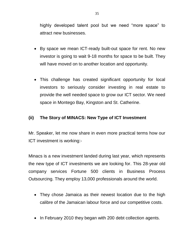highly developed talent pool but we need "more space" to attract new businesses.

- By space we mean ICT-ready built-out space for rent. No new investor is going to wait 9-18 months for space to be built. They will have moved on to another location and opportunity.
- This challenge has created significant opportunity for local investors to seriously consider investing in real estate to provide the well needed space to grow our ICT sector. We need space in Montego Bay, Kingston and St. Catherine.

### **(ii) The Story of MINACS: New Type of ICT Investment**

Mr. Speaker, let me now share in even more practical terms how our ICT investment is working:-

Minacs is a new investment landed during last year, which represents the new type of ICT investments we are looking for. This 28-year old company services Fortune 500 clients in Business Process Outsourcing. They employ 13,000 professionals around the world.

- They chose Jamaica as their newest location due to the high calibre of the Jamaican labour force and our competitive costs.
- In February 2010 they began with 200 debt collection agents.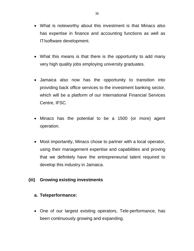- What is noteworthy about this investment is that Minacs also has expertise in finance and accounting functions as well as IT/software development.
- What this means is that there is the opportunity to add many very high quality jobs employing university graduates.
- Jamaica also now has the opportunity to transition into providing back office services to the investment banking sector, which will be a platform of our International Financial Services Centre, IFSC.
- Minacs has the potential to be a 1500 (or more) agent operation.
- Most importantly, Minacs chose to partner with a local operator, using their management expertise and capabilities and proving that we definitely have the entrepreneurial talent required to develop this industry in Jamaica.

### **(iii) Growing existing investments**

#### **a. Teleperformance:**

 One of our largest existing operators, Tele-performance, has been continuously growing and expanding.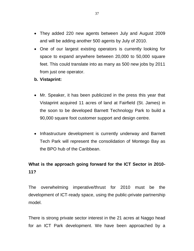- They added 220 new agents between July and August 2009 and will be adding another 500 agents by July of 2010.
- One of our largest existing operators is currently looking for space to expand anywhere between 20,000 to 50,000 square feet. This could translate into as many as 500 new jobs by 2011 from just one operator.
- **b. Vistaprint:**
- Mr. Speaker, it has been publicized in the press this year that Vistaprint acquired 11 acres of land at Fairfield (St. James) in the soon to be developed Barnett Technology Park to build a 90,000 square foot customer support and design centre.
- Infrastructure development is currently underway and Barnett Tech Park will represent the consolidation of Montego Bay as the BPO hub of the Caribbean.

# **What is the approach going forward for the ICT Sector in 2010- 11?**

The overwhelming imperative/thrust for 2010 must be the development of ICT-ready space, using the public-private partnership model.

There is strong private sector interest in the 21 acres at Naggo head for an ICT Park development. We have been approached by a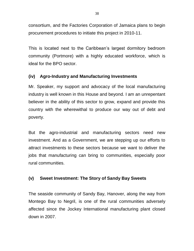consortium, and the Factories Corporation of Jamaica plans to begin procurement procedures to initiate this project in 2010-11.

This is located next to the Caribbean's largest dormitory bedroom community (Portmore) with a highly educated workforce, which is ideal for the BPO sector.

## **(iv) Agro-Industry and Manufacturing Investments**

Mr. Speaker, my support and advocacy of the local manufacturing industry is well known in this House and beyond. I am an unrepentant believer in the ability of this sector to grow, expand and provide this country with the wherewithal to produce our way out of debt and poverty.

But the agro-industrial and manufacturing sectors need new investment. And as a Government, we are stepping up our efforts to attract investments to these sectors because we want to deliver the jobs that manufacturing can bring to communities, especially poor rural communities.

## **(v) Sweet Investment: The Story of Sandy Bay Sweets**

The seaside community of Sandy Bay, Hanover, along the way from Montego Bay to Negril, is one of the rural communities adversely affected since the Jockey International manufacturing plant closed down in 2007.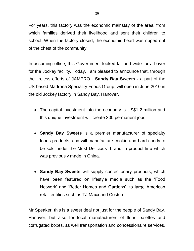For years, this factory was the economic mainstay of the area, from which families derived their livelihood and sent their children to school. When the factory closed, the economic heart was ripped out of the chest of the community.

In assuming office, this Government looked far and wide for a buyer for the Jockey facility. Today, I am pleased to announce that, through the tireless efforts of JAMPRO - **Sandy Bay Sweets -** a part of the US-based Madrona Speciality Foods Group, will open in June 2010 in the old Jockey factory in Sandy Bay, Hanover.

- The capital investment into the economy is US\$1.2 million and this unique investment will create 300 permanent jobs.
- **Sandy Bay Sweets** is a premier manufacturer of specialty foods products, and will manufacture cookie and hard candy to be sold under the "Just Delicious" brand, a product line which was previously made in China.
- **Sandy Bay Sweets** will supply confectionary products, which have been featured on lifestyle media such as the 'Food Network' and 'Better Homes and Gardens', to large American retail entities such as TJ Maxx and Costco.

Mr Speaker, this is a sweet deal not just for the people of Sandy Bay, Hanover, but also for local manufacturers of flour, palettes and corrugated boxes, as well transportation and concessionaire services.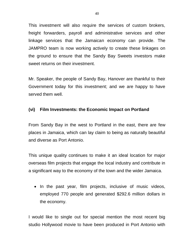This investment will also require the services of custom brokers, freight forwarders, payroll and administrative services and other linkage services that the Jamaican economy can provide. The JAMPRO team is now working actively to create these linkages on the ground to ensure that the Sandy Bay Sweets investors make sweet returns on their investment.

Mr. Speaker, the people of Sandy Bay, Hanover are thankful to their Government today for this investment; and we are happy to have served them well.

### **(vi) Film Investments: the Economic Impact on Portland**

From Sandy Bay in the west to Portland in the east, there are few places in Jamaica, which can lay claim to being as naturally beautiful and diverse as Port Antonio.

This unique quality continues to make it an ideal location for major overseas film projects that engage the local industry and contribute in a significant way to the economy of the town and the wider Jamaica.

• In the past year, film projects, inclusive of music videos, employed 770 people and generated \$292.6 million dollars in the economy.

I would like to single out for special mention the most recent big studio Hollywood movie to have been produced in Port Antonio with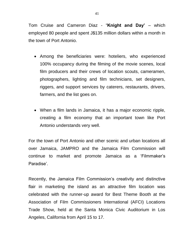Tom Cruise and Cameron Diaz - "**Knight and Day'** – which employed 80 people and spent J\$135 million dollars within a month in the town of Port Antonio.

- Among the beneficiaries were: hoteliers, who experienced 100% occupancy during the filming of the movie scenes, local film producers and their crews of location scouts, cameramen, photographers, lighting and film technicians, set designers, riggers, and support services by caterers, restaurants, drivers, farmers, and the list goes on.
- When a film lands in Jamaica, it has a major economic ripple, creating a film economy that an important town like Port Antonio understands very well.

For the town of Port Antonio and other scenic and urban locations all over Jamaica, JAMPRO and the Jamaica Film Commission will continue to market and promote Jamaica as a 'Filmmaker's Paradise'.

Recently, the Jamaica Film Commission's creativity and distinctive flair in marketing the island as an attractive film location was celebrated with the runner-up award for Best Theme Booth at the Association of Film Commissioners International (AFCI) Locations Trade Show, held at the Santa Monica Civic Auditorium in Los Angeles, California from April 15 to 17.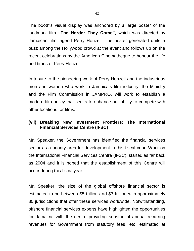The booth's visual display was anchored by a large poster of the landmark film **"The Harder They Come"**, which was directed by Jamaican film legend Perry Henzell. The poster generated quite a buzz among the Hollywood crowd at the event and follows up on the recent celebrations by the American Cinematheque to honour the life and times of Perry Henzell.

In tribute to the pioneering work of Perry Henzell and the industrious men and women who work in Jamaica's film industry, the Ministry and the Film Commission in JAMPRO, will work to establish a modern film policy that seeks to enhance our ability to compete with other locations for films.

## **(vii) Breaking New Investment Frontiers: The International Financial Services Centre (IFSC)**

Mr. Speaker, the Government has identified the financial services sector as a priority area for development in this fiscal year. Work on the International Financial Services Centre (IFSC), started as far back as 2004 and it is hoped that the establishment of this Centre will occur during this fiscal year.

Mr. Speaker, the size of the global offshore financial sector is estimated to be between \$5 trillion and \$7 trillion with approximately 80 jurisdictions that offer these services worldwide. Notwithstanding, offshore financial services experts have highlighted the opportunities for Jamaica, with the centre providing substantial annual recurring revenues for Government from statutory fees, etc. estimated at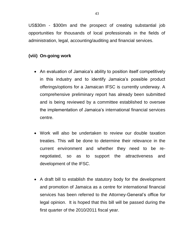US\$30m - \$300m and the prospect of creating substantial job opportunities for thousands of local professionals in the fields of administration, legal, accounting/auditing and financial services.

## **(viii) On-going work**

- An evaluation of Jamaica's ability to position itself competitively in this industry and to identify Jamaica's possible product offerings/options for a Jamaican IFSC is currently underway. A comprehensive preliminary report has already been submitted and is being reviewed by a committee established to oversee the implementation of Jamaica's international financial services centre.
- Work will also be undertaken to review our double taxation treaties. This will be done to determine their relevance in the current environment and whether they need to be renegotiated, so as to support the attractiveness and development of the IFSC.
- A draft bill to establish the statutory body for the development and promotion of Jamaica as a centre for international financial services has been referred to the Attorney-General's office for legal opinion. It is hoped that this bill will be passed during the first quarter of the 2010/2011 fiscal year.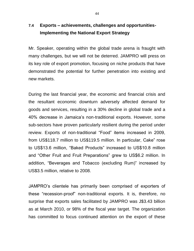# **7.4 Exports – achievements, challenges and opportunities-Implementing the National Export Strategy**

Mr. Speaker, operating within the global trade arena is fraught with many challenges, but we will not be deterred. JAMPRO will press on its key role of export promotion, focusing on niche products that have demonstrated the potential for further penetration into existing and new markets.

During the last financial year, the economic and financial crisis and the resultant economic downturn adversely affected demand for goods and services, resulting in a 30% decline in global trade and a 40% decrease in Jamaica's non-traditional exports. However, some sub-sectors have proven particularly resilient during the period under review. Exports of non-traditional "Food" items increased in 2009, from US\$118.7 million to US\$119.5 million. In particular, Cake" rose to US\$13.6 million, "Baked Products" increased to US\$10.8 million and "Other Fruit and Fruit Preparations" grew to US\$6.2 million. In addition, "Beverages and Tobacco (excluding Rum)" increased by US\$3.5 million, relative to 2008.

JAMPRO's clientele has primarily been comprised of exporters of these "recession-proof" non-traditional exports. It is, therefore, no surprise that exports sales facilitated by JAMPRO was J\$3.43 billion as at March 2010, or 98% of the fiscal year target. The organization has committed to focus continued attention on the export of these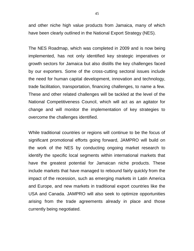and other niche high value products from Jamaica, many of which have been clearly outlined in the National Export Strategy (NES).

The NES Roadmap, which was completed in 2009 and is now being implemented, has not only identified key strategic imperatives or growth sectors for Jamaica but also distills the key challenges faced by our exporters. Some of the cross-cutting sectoral issues include the need for human capital development, innovation and technology, trade facilitation, transportation, financing challenges, to name a few. These and other related challenges will be tackled at the level of the National Competitiveness Council, which will act as an agitator for change and will monitor the implementation of key strategies to overcome the challenges identified.

While traditional countries or regions will continue to be the focus of significant promotional efforts going forward, JAMPRO will build on the work of the NES by conducting ongoing market research to identify the specific local segments within international markets that have the greatest potential for Jamaican niche products. These include markets that have managed to rebound fairly quickly from the impact of the recession, such as emerging markets in Latin America and Europe, and new markets in traditional export countries like the USA and Canada. JAMPRO will also seek to optimize opportunities arising from the trade agreements already in place and those currently being negotiated.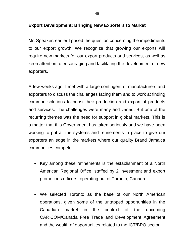#### **Export Development: Bringing New Exporters to Market**

Mr. Speaker, earlier I posed the question concerning the impediments to our export growth. We recognize that growing our exports will require new markets for our export products and services, as well as keen attention to encouraging and facilitating the development of new exporters.

A few weeks ago, I met with a large contingent of manufacturers and exporters to discuss the challenges facing them and to work at finding common solutions to boost their production and export of products and services. The challenges were many and varied. But one of the recurring themes was the need for support in global markets. This is a matter that this Government has taken seriously and we have been working to put all the systems and refinements in place to give our exporters an edge in the markets where our quality Brand Jamaica commodities compete.

- Key among these refinements is the establishment of a North American Regional Office, staffed by 2 investment and export promotions officers, operating out of Toronto, Canada.
- We selected Toronto as the base of our North American operations, given some of the untapped opportunities in the Canadian market in the context of the upcoming CARICOM/Canada Free Trade and Development Agreement and the wealth of opportunities related to the ICT/BPO sector.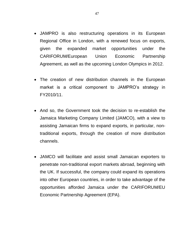- JAMPRO is also restructuring operations in its European Regional Office in London, with a renewed focus on exports, given the expanded market opportunities under the CARIFORUM/European Union Economic Partnership Agreement, as well as the upcoming London Olympics in 2012.
- The creation of new distribution channels in the European market is a critical component to JAMPRO's strategy in FY2010/11.
- And so, the Government took the decision to re-establish the Jamaica Marketing Company Limited (JAMCO), with a view to assisting Jamaican firms to expand exports, in particular, nontraditional exports, through the creation of more distribution channels.
- JAMCO will facilitate and assist small Jamaican exporters to penetrate non-traditional export markets abroad, beginning with the UK. If successful, the company could expand its operations into other European countries, in order to take advantage of the opportunities afforded Jamaica under the CARIFORUM/EU Economic Partnership Agreement (EPA).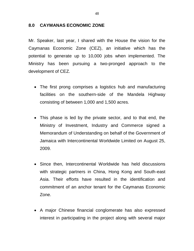#### **8.0 CAYMANAS ECONOMIC ZONE**

Mr. Speaker, last year, I shared with the House the vision for the Caymanas Economic Zone (CEZ), an initiative which has the potential to generate up to 10,000 jobs when implemented. The Ministry has been pursuing a two-pronged approach to the development of CEZ.

- The first prong comprises a logistics hub and manufacturing facilities on the southern-side of the Mandela Highway consisting of between 1,000 and 1,500 acres.
- This phase is led by the private sector, and to that end, the Ministry of Investment, Industry and Commerce signed a Memorandum of Understanding on behalf of the Government of Jamaica with Intercontinental Worldwide Limited on August 25, 2009.
- Since then, Intercontinental Worldwide has held discussions with strategic partners in China, Hong Kong and South-east Asia. Their efforts have resulted in the identification and commitment of an anchor tenant for the Caymanas Economic Zone.
- A major Chinese financial conglomerate has also expressed interest in participating in the project along with several major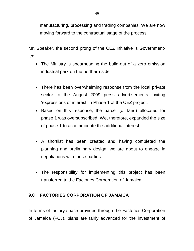manufacturing, processing and trading companies. We are now moving forward to the contractual stage of the process.

Mr. Speaker, the second prong of the CEZ Initiative is Governmentled:-

- The Ministry is spearheading the build-out of a zero emission industrial park on the northern-side.
- There has been overwhelming response from the local private sector to the August 2009 press advertisements inviting 'expressions of interest' in Phase 1 of the CEZ project.
- Based on this response, the parcel (of land) allocated for phase 1 was oversubscribed. We, therefore, expanded the size of phase 1 to accommodate the additional interest.
- A shortlist has been created and having completed the planning and preliminary design, we are about to engage in negotiations with these parties.
- The responsibility for implementing this project has been transferred to the Factories Corporation of Jamaica.

## **9.0 FACTORIES CORPORATION OF JAMAICA**

In terms of factory space provided through the Factories Corporation of Jamaica (FCJ), plans are fairly advanced for the investment of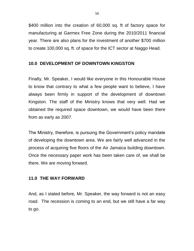\$400 million into the creation of 60,000 sq. ft of factory space for manufacturing at Garmex Free Zone during the 2010/2011 financial year. There are also plans for the investment of another \$700 million to create 100,000 sq. ft. of space for the ICT sector at Naggo Head.

### **10.0 DEVELOPMENT OF DOWNTOWN KINGSTON**

Finally, Mr. Speaker, I would like everyone in this Honourable House to know that contrary to what a few people want to believe, I have always been firmly in support of the development of downtown Kingston. The staff of the Ministry knows that very well. Had we obtained the required space downtown, we would have been there from as early as 2007.

The Ministry, therefore, is pursuing the Government's policy mandate of developing the downtown area. We are fairly well advanced in the process of acquiring five floors of the Air Jamaica building downtown. Once the necessary paper work has been taken care of, we shall be there. We are moving forward.

### **11.0 THE WAY FORWARD**

And, as I stated before, Mr. Speaker, the way forward is not an easy road. The recession is coming to an end, but we still have a far way to go.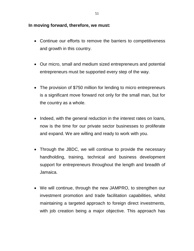#### **In moving forward, therefore, we must:**

- Continue our efforts to remove the barriers to competitiveness and growth in this country.
- Our micro, small and medium sized entrepreneurs and potential entrepreneurs must be supported every step of the way.
- The provision of \$750 million for lending to micro entrepreneurs is a significant move forward not only for the small man, but for the country as a whole.
- Indeed, with the general reduction in the interest rates on loans, now is the time for our private sector businesses to proliferate and expand. We are willing and ready to work with you.
- Through the JBDC, we will continue to provide the necessary handholding, training, technical and business development support for entrepreneurs throughout the length and breadth of Jamaica.
- We will continue, through the new JAMPRO, to strengthen our investment promotion and trade facilitation capabilities, whilst maintaining a targeted approach to foreign direct investments, with job creation being a major objective. This approach has